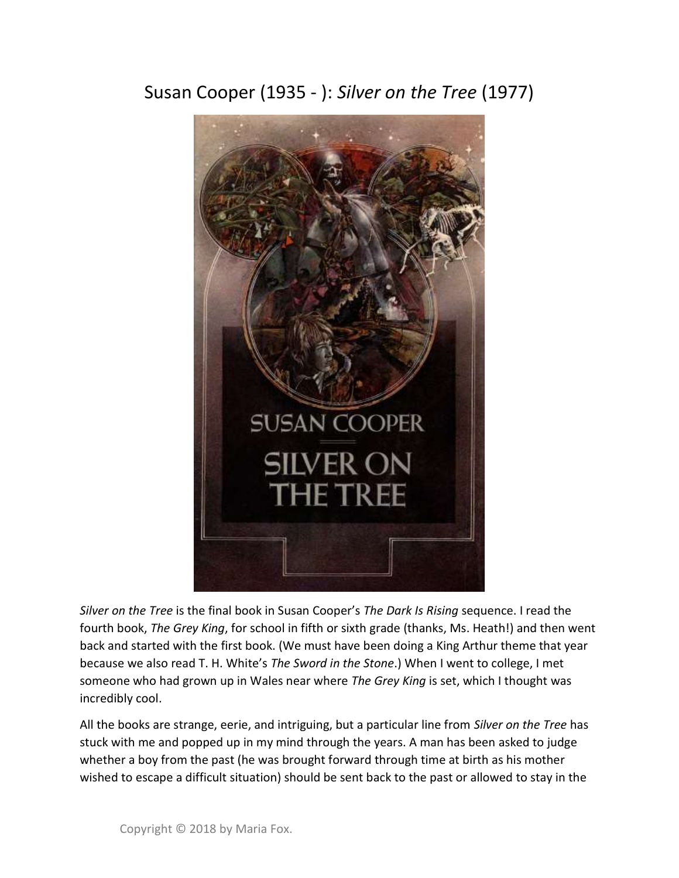Susan Cooper (1935 - ): Silver on the Tree (1977)



Silver on the Tree is the final book in Susan Cooper's The Dark Is Rising sequence. I read the fourth book, The Grey King, for school in fifth or sixth grade (thanks, Ms. Heath!) and then went back and started with the first book. (We must have been doing a King Arthur theme that year because we also read T. H. White's The Sword in the Stone.) When I went to college, I met someone who had grown up in Wales near where The Grey King is set, which I thought was incredibly cool.

All the books are strange, eerie, and intriguing, but a particular line from Silver on the Tree has stuck with me and popped up in my mind through the years. A man has been asked to judge whether a boy from the past (he was brought forward through time at birth as his mother wished to escape a difficult situation) should be sent back to the past or allowed to stay in the